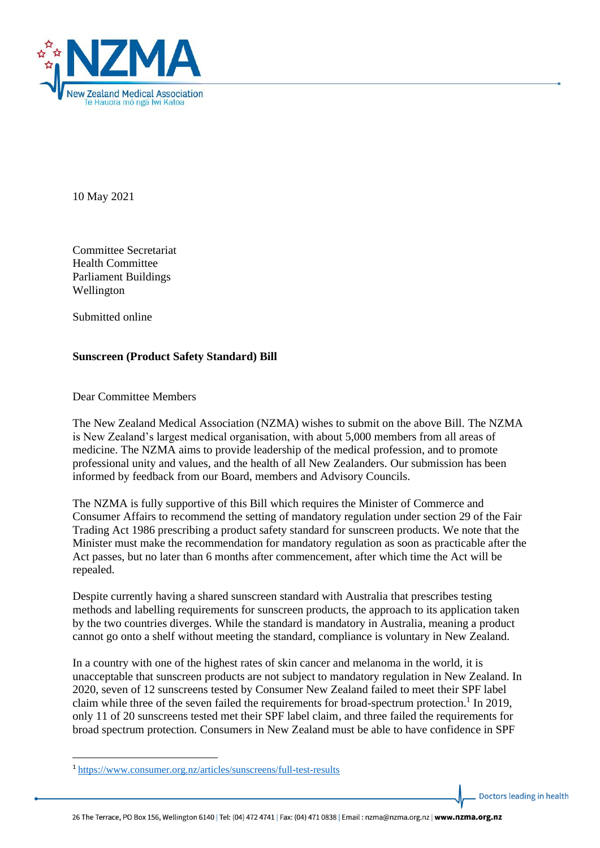

10 May 2021

Committee Secretariat Health Committee Parliament Buildings Wellington

Submitted online

## **Sunscreen (Product Safety Standard) Bill**

Dear Committee Members

The New Zealand Medical Association (NZMA) wishes to submit on the above Bill. The NZMA is New Zealand's largest medical organisation, with about 5,000 members from all areas of medicine. The NZMA aims to provide leadership of the medical profession, and to promote professional unity and values, and the health of all New Zealanders. Our submission has been informed by feedback from our Board, members and Advisory Councils.

The NZMA is fully supportive of this Bill which requires the Minister of Commerce and Consumer Affairs to recommend the setting of mandatory regulation under section 29 of the Fair Trading Act 1986 prescribing a product safety standard for sunscreen products. We note that the Minister must make the recommendation for mandatory regulation as soon as practicable after the Act passes, but no later than 6 months after commencement, after which time the Act will be repealed.

Despite currently having a shared sunscreen standard with Australia that prescribes testing methods and labelling requirements for sunscreen products, the approach to its application taken by the two countries diverges. While the standard is mandatory in Australia, meaning a product cannot go onto a shelf without meeting the standard, compliance is voluntary in New Zealand.

In a country with one of the highest rates of skin cancer and melanoma in the world, it is unacceptable that sunscreen products are not subject to mandatory regulation in New Zealand. In 2020, seven of 12 sunscreens tested by Consumer New Zealand failed to meet their SPF label claim while three of the seven failed the requirements for broad-spectrum protection.<sup>1</sup> In 2019, only 11 of 20 sunscreens tested met their SPF label claim, and three failed the requirements for broad spectrum protection. Consumers in New Zealand must be able to have confidence in SPF

Doctors leading in health

<sup>1</sup> <https://www.consumer.org.nz/articles/sunscreens/full-test-results>